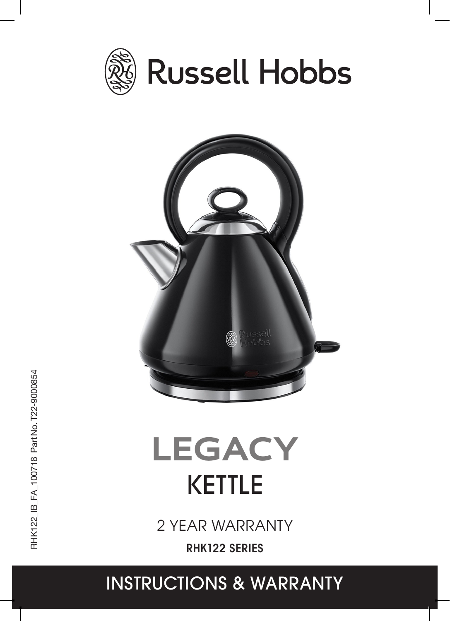



# KETTLE **LEGACY**

2 YEAR WARRANTY

RHK122 SERIES

# 1 INSTRUCTIONS & WARRANTY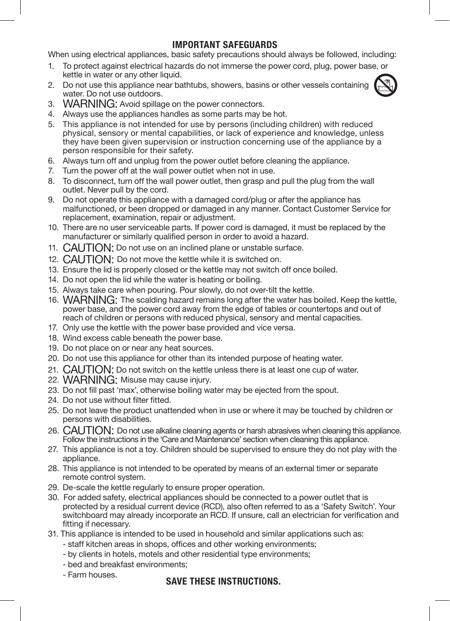# IMPORTANT SAFEGUARDS

When using electrical appliances, basic safety precautions should always be followed, including:

- 1. To protect against electrical hazards do not immerse the power cord, plug, power base, or kettle in water or any other liquid.
- 2. Do not use this appliance near bathtubs, showers, basins or other vessels containing water. Do not use outdoors.



- 3. WARNING: Avoid spillage on the power connectors.
- 4. Always use the appliances handles as some parts may be hot.
- 5. This appliance is not intended for use by persons (including children) with reduced physical, sensory or mental capabilities, or lack of experience and knowledge, unless they have been given supervision or instruction concerning use of the appliance by a person responsible for their safety.
- 6. Always turn off and unplug from the power outlet before cleaning the appliance.
- 7. Turn the power off at the wall power outlet when not in use.
- 8. To disconnect, turn off the wall power outlet, then grasp and pull the plug from the wall outlet. Never pull by the cord.
- 9. Do not operate this appliance with a damaged cord/plug or after the appliance has malfunctioned, or been dropped or damaged in any manner. Contact Customer Service for replacement, examination, repair or adjustment.
- 10. There are no user serviceable parts. If power cord is damaged, it must be replaced by the manufacturer or similarly qualified person in order to avoid a hazard.
- 11. CAUTION: Do not use on an inclined plane or unstable surface.
- 12. CAUTION: Do not move the kettle while it is switched on.
- 13. Ensure the lid is properly closed or the kettle may not switch off once boiled.
- 14. Do not open the lid while the water is heating or boiling.
- 15. Always take care when pouring. Pour slowly, do not over-tilt the kettle.
- 16. WARNING: The scalding hazard remains long after the water has boiled. Keep the kettle, power base, and the power cord away from the edge of tables or countertops and out of reach of children or persons with reduced physical, sensory and mental capacities.
- 17. Only use the kettle with the power base provided and vice versa.
- 18. Wind excess cable beneath the power base.
- 19. Do not place on or near any heat sources.
- 20. Do not use this appliance for other than its intended purpose of heating water.
- 21. CAUTION: Do not switch on the kettle unless there is at least one cup of water.
- 22. WARNING: Misuse may cause injury.
- 23. Do not fill past 'max', otherwise boiling water may be ejected from the spout.
- 24. Do not use without filter fitted.
- 25. Do not leave the product unattended when in use or where it may be touched by children or persons with disabilities.
- 26. CAUTION: Do not use alkaline cleaning agents or harsh abrasives when cleaning this appliance. Follow the instructions in the 'Care and Maintenance' section when cleaning this appliance.
- 27. This appliance is not a toy. Children should be supervised to ensure they do not play with the appliance.
- 28. This appliance is not intended to be operated by means of an external timer or separate remote control system.
- 29. De-scale the kettle regularly to ensure proper operation.
- 30. For added safety, electrical appliances should be connected to a power outlet that is protected by a residual current device (RCD), also often referred to as a 'Safety Switch'. Your switchboard may already incorporate an RCD. If unsure, call an electrician for verification and fitting if necessary.
- 31. This appliance is intended to be used in household and similar applications such as:
	- staff kitchen areas in shops, offices and other working environments;
	- by clients in hotels, motels and other residential type environments;
	- bed and breakfast environments;
	- Farm houses.

#### SAVE THESE INSTRUCTIONS.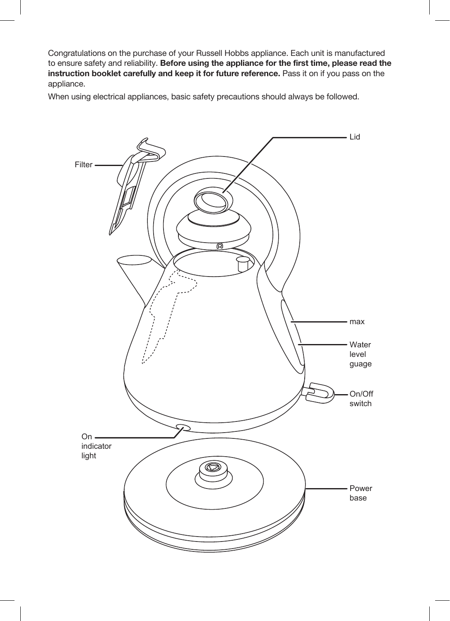Congratulations on the purchase of your Russell Hobbs appliance. Each unit is manufactured to ensure safety and reliability. Before using the appliance for the first time, please read the instruction booklet carefully and keep it for future reference. Pass it on if you pass on the appliance.

When using electrical appliances, basic safety precautions should always be followed.

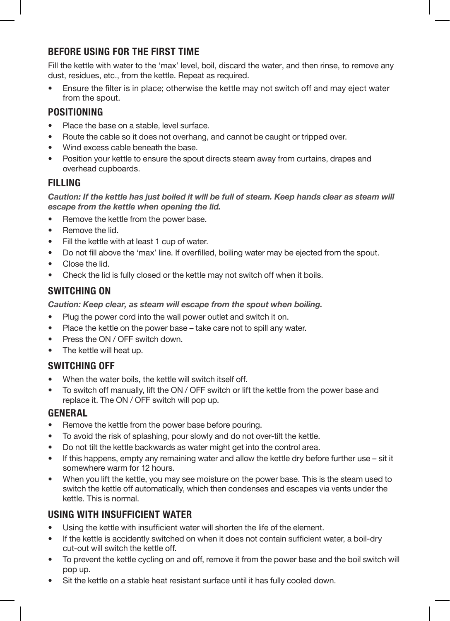# BEFORE USING FOR THE FIRST TIME

Fill the kettle with water to the 'max' level, boil, discard the water, and then rinse, to remove any dust, residues, etc., from the kettle. Repeat as required.

• Ensure the filter is in place; otherwise the kettle may not switch off and may eject water from the spout.

# POSITIONING

- Place the base on a stable, level surface.
- Route the cable so it does not overhang, and cannot be caught or tripped over.
- Wind excess cable beneath the base.
- Position your kettle to ensure the spout directs steam away from curtains, drapes and overhead cupboards.

# FILLING

Caution: If the kettle has just boiled it will be full of steam. Keep hands clear as steam will *escape from the kettle when opening the lid.*

- Remove the kettle from the power base.
- Remove the lid.
- Fill the kettle with at least 1 cup of water.
- Do not fill above the 'max' line. If overfilled, boiling water may be ejected from the spout.
- Close the lid.
- Check the lid is fully closed or the kettle may not switch off when it boils.

# SWITCHING ON

*Caution: Keep clear, as steam will escape from the spout when boiling.*

- Plug the power cord into the wall power outlet and switch it on.
- Place the kettle on the power base take care not to spill any water.
- Press the ON / OFF switch down.
- The kettle will heat up.

# SWITCHING OFF

- When the water boils, the kettle will switch itself off.
- To switch off manually, lift the ON / OFF switch or lift the kettle from the power base and replace it. The ON / OFF switch will pop up.

#### GENERAL

- Remove the kettle from the power base before pouring.
- To avoid the risk of splashing, pour slowly and do not over-tilt the kettle.
- Do not tilt the kettle backwards as water might get into the control area.
- If this happens, empty any remaining water and allow the kettle dry before further use sit it somewhere warm for 12 hours.
- When you lift the kettle, you may see moisture on the power base. This is the steam used to switch the kettle off automatically, which then condenses and escapes via vents under the kettle. This is normal.

# USING WITH INSUFFICIENT WATER

- Using the kettle with insufficient water will shorten the life of the element.
- If the kettle is accidently switched on when it does not contain sufficient water, a boil-dry cut-out will switch the kettle off.
- To prevent the kettle cycling on and off, remove it from the power base and the boil switch will pop up.
- Sit the kettle on a stable heat resistant surface until it has fully cooled down.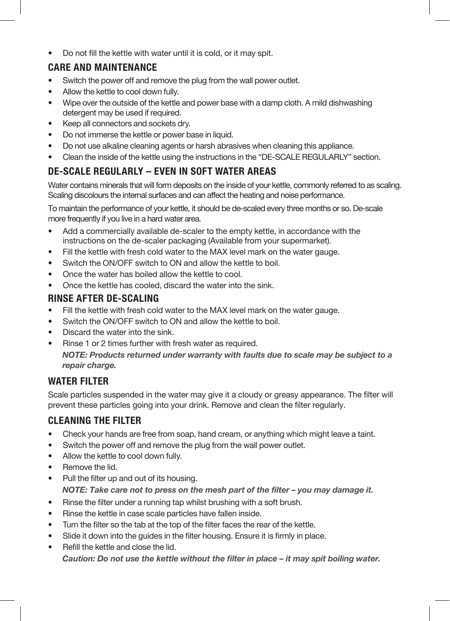• Do not fill the kettle with water until it is cold, or it may spit.

# CARE AND MAINTENANCE

- Switch the power off and remove the plug from the wall power outlet.
- Allow the kettle to cool down fully.
- Wipe over the outside of the kettle and power base with a damp cloth. A mild dishwashing detergent may be used if required.
- Keep all connectors and sockets dry.
- Do not immerse the kettle or power base in liquid.
- Do not use alkaline cleaning agents or harsh abrasives when cleaning this appliance.
- Clean the inside of the kettle using the instructions in the "DE-SCALE REGULARLY" section.

# DE-SCALE REGULARLY – EVEN IN SOFT WATER AREAS

Water contains minerals that will form deposits on the inside of your kettle, commonly referred to as scaling. Scaling discolours the internal surfaces and can affect the heating and noise performance.

To maintain the performance of your kettle, it should be de-scaled every three months or so. De-scale more frequently if you live in a hard water area.

- Add a commercially available de-scaler to the empty kettle, in accordance with the instructions on the de-scaler packaging (Available from your supermarket).
- Fill the kettle with fresh cold water to the MAX level mark on the water gauge.
- Switch the ON/OFF switch to ON and allow the kettle to boil.
- Once the water has boiled allow the kettle to cool.
- Once the kettle has cooled, discard the water into the sink.

# RINSE AFTER DE-SCALING

- Fill the kettle with fresh cold water to the MAX level mark on the water gauge.
- Switch the ON/OFF switch to ON and allow the kettle to boil.
- Discard the water into the sink.
- Rinse 1 or 2 times further with fresh water as required. *NOTE: Products returned under warranty with faults due to scale may be subject to a repair charge.*

# WATER FILTER

Scale particles suspended in the water may give it a cloudy or greasy appearance. The filter will prevent these particles going into your drink. Remove and clean the filter regularly.

# CLEANING THE FILTER

- Check your hands are free from soap, hand cream, or anything which might leave a taint.
- Switch the power off and remove the plug from the wall power outlet.
- Allow the kettle to cool down fully.
- Remove the lid.
- Pull the filter up and out of its housing. *NOTE: Take care not to press on the mesh part of the filter – you may damage it.*
- Rinse the filter under a running tap whilst brushing with a soft brush.
- Rinse the kettle in case scale particles have fallen inside.
- Turn the filter so the tab at the top of the filter faces the rear of the kettle.
- Slide it down into the guides in the filter housing. Ensure it is firmly in place.
	- Refill the kettle and close the lid. *Caution: Do not use the kettle without the filter in place – it may spit boiling water.*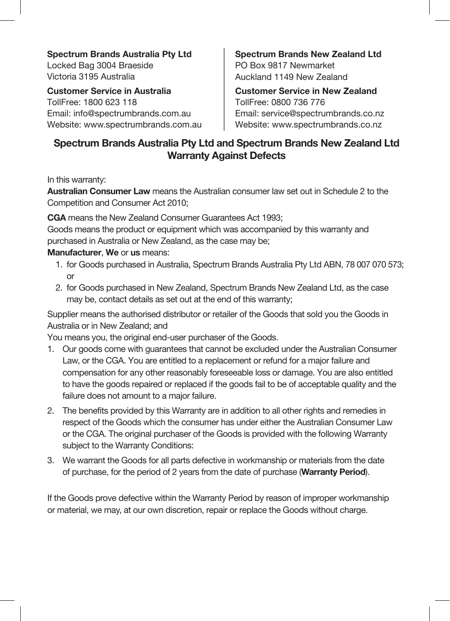**Spectrum Brands Australia Pty Ltd** Locked Bag 3004 Braeside Victoria 3195 Australia

**Customer Service in Australia** TollFree: 1800 623 118 Email: info@spectrumbrands.com.au Website: www.spectrumbrands.com.au **Spectrum Brands New Zealand Ltd** PO Box 9817 Newmarket Auckland 1149 New Zealand

**Customer Service in New Zealand** TollFree: 0800 736 776 Email: service@spectrumbrands.co.nz Website: www.spectrumbrands.co.nz

# **Spectrum Brands Australia Pty Ltd and Spectrum Brands New Zealand Ltd Warranty Against Defects**

In this warranty:

**Australian Consumer Law** means the Australian consumer law set out in Schedule 2 to the Competition and Consumer Act 2010;

**CGA** means the New Zealand Consumer Guarantees Act 1993;

Goods means the product or equipment which was accompanied by this warranty and purchased in Australia or New Zealand, as the case may be;

# **Manufacturer**, **We** or **us** means:

- 1. for Goods purchased in Australia, Spectrum Brands Australia Pty Ltd ABN, 78 007 070 573; or
- 2. for Goods purchased in New Zealand, Spectrum Brands New Zealand Ltd, as the case may be, contact details as set out at the end of this warranty;

Supplier means the authorised distributor or retailer of the Goods that sold you the Goods in Australia or in New Zealand; and

You means you, the original end-user purchaser of the Goods.

- 1. Our goods come with guarantees that cannot be excluded under the Australian Consumer Law, or the CGA. You are entitled to a replacement or refund for a major failure and compensation for any other reasonably foreseeable loss or damage. You are also entitled to have the goods repaired or replaced if the goods fail to be of acceptable quality and the failure does not amount to a major failure.
- 2. The benefits provided by this Warranty are in addition to all other rights and remedies in respect of the Goods which the consumer has under either the Australian Consumer Law or the CGA. The original purchaser of the Goods is provided with the following Warranty subject to the Warranty Conditions:
- 3. We warrant the Goods for all parts defective in workmanship or materials from the date of purchase, for the period of 2 years from the date of purchase (**Warranty Period**).

If the Goods prove defective within the Warranty Period by reason of improper workmanship or material, we may, at our own discretion, repair or replace the Goods without charge.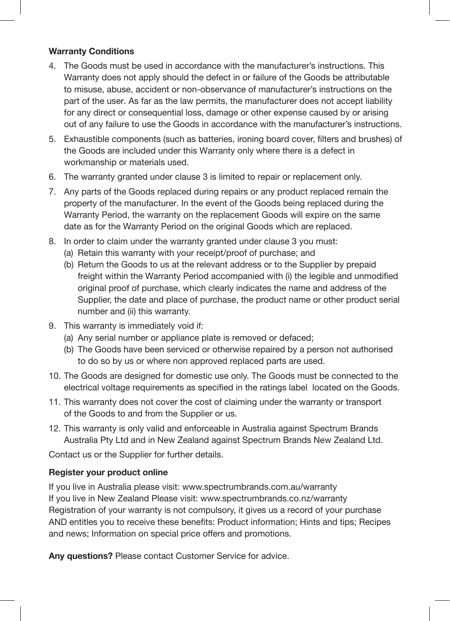#### **Warranty Conditions**

- 4. The Goods must be used in accordance with the manufacturer's instructions. This Warranty does not apply should the defect in or failure of the Goods be attributable to misuse, abuse, accident or non-observance of manufacturer's instructions on the part of the user. As far as the law permits, the manufacturer does not accept liability for any direct or consequential loss, damage or other expense caused by or arising out of any failure to use the Goods in accordance with the manufacturer's instructions.
- 5. Exhaustible components (such as batteries, ironing board cover, filters and brushes) of the Goods are included under this Warranty only where there is a defect in workmanship or materials used.
- 6. The warranty granted under clause 3 is limited to repair or replacement only.
- 7. Any parts of the Goods replaced during repairs or any product replaced remain the property of the manufacturer. In the event of the Goods being replaced during the Warranty Period, the warranty on the replacement Goods will expire on the same date as for the Warranty Period on the original Goods which are replaced.
- 8. In order to claim under the warranty granted under clause 3 you must:
	- (a) Retain this warranty with your receipt/proof of purchase; and
	- (b) Return the Goods to us at the relevant address or to the Supplier by prepaid freight within the Warranty Period accompanied with (i) the legible and unmodified original proof of purchase, which clearly indicates the name and address of the Supplier, the date and place of purchase, the product name or other product serial number and (ii) this warranty.
- 9. This warranty is immediately void if:
	- (a) Any serial number or appliance plate is removed or defaced;
	- (b) The Goods have been serviced or otherwise repaired by a person not authorised to do so by us or where non approved replaced parts are used.
- 10. The Goods are designed for domestic use only. The Goods must be connected to the electrical voltage requirements as specified in the ratings label located on the Goods.
- 11. This warranty does not cover the cost of claiming under the warranty or transport of the Goods to and from the Supplier or us.
- 12. This warranty is only valid and enforceable in Australia against Spectrum Brands Australia Pty Ltd and in New Zealand against Spectrum Brands New Zealand Ltd.

Contact us or the Supplier for further details.

#### **Register your product online**

If you live in Australia please visit: www.spectrumbrands.com.au/warranty If you live in New Zealand Please visit: www.spectrumbrands.co.nz/warranty Registration of your warranty is not compulsory, it gives us a record of your purchase AND entitles you to receive these benefits: Product information; Hints and tips; Recipes and news; Information on special price offers and promotions.

**Any questions?** Please contact Customer Service for advice.